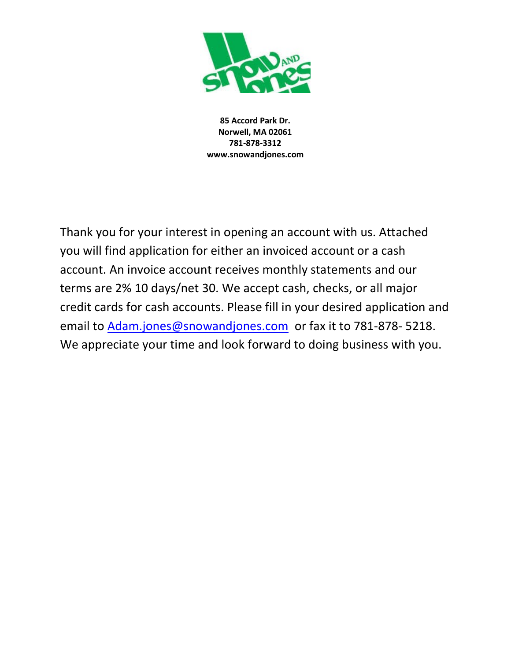

85 Accord Park Dr. Norwell, MA 02061 781-878-3312 www.snowandjones.com

Thank you for your interest in opening an account with us. Attached you will find application for either an invoiced account or a cash account. An invoice account receives monthly statements and our terms are 2% 10 days/net 30. We accept cash, checks, or all major credit cards for cash accounts. Please fill in your desired application and email to Adam.jones@snowandjones.com or fax it to 781-878- 5218. We appreciate your time and look forward to doing business with you.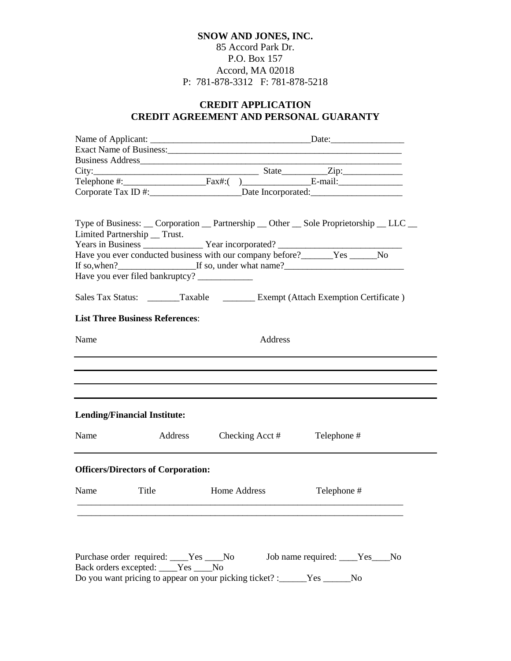### **SNOW AND JONES, INC.** 85 Accord Park Dr. P.O. Box 157 Accord, MA 02018 P: 781-878-3312 F: 781-878-5218

## **CREDIT APPLICATION CREDIT AGREEMENT AND PERSONAL GUARANTY**

|                                                                                |         |                             | $City:$ State $Zip:$                                                                                                                                                                                                                                          |  |  |  |
|--------------------------------------------------------------------------------|---------|-----------------------------|---------------------------------------------------------------------------------------------------------------------------------------------------------------------------------------------------------------------------------------------------------------|--|--|--|
|                                                                                |         |                             |                                                                                                                                                                                                                                                               |  |  |  |
|                                                                                |         |                             |                                                                                                                                                                                                                                                               |  |  |  |
| Limited Partnership __ Trust.<br>Have you ever filed bankruptcy? _____________ |         |                             | Type of Business: __ Corporation __ Partnership __ Other __ Sole Proprietorship __ LLC __<br>Have you ever conducted business with our company before?______Yes _____No<br>Sales Tax Status: ________Taxable ___________Exempt (Attach Exemption Certificate) |  |  |  |
| <b>List Three Business References:</b>                                         |         |                             |                                                                                                                                                                                                                                                               |  |  |  |
| Name                                                                           |         | Address                     |                                                                                                                                                                                                                                                               |  |  |  |
|                                                                                |         |                             |                                                                                                                                                                                                                                                               |  |  |  |
| <b>Lending/Financial Institute:</b>                                            |         |                             |                                                                                                                                                                                                                                                               |  |  |  |
| Name                                                                           | Address | Checking Acct # Telephone # |                                                                                                                                                                                                                                                               |  |  |  |
| <b>Officers/Directors of Corporation:</b>                                      |         |                             |                                                                                                                                                                                                                                                               |  |  |  |
| Name                                                                           | Title   | Home Address                | Telephone #                                                                                                                                                                                                                                                   |  |  |  |
|                                                                                |         |                             |                                                                                                                                                                                                                                                               |  |  |  |
|                                                                                |         |                             |                                                                                                                                                                                                                                                               |  |  |  |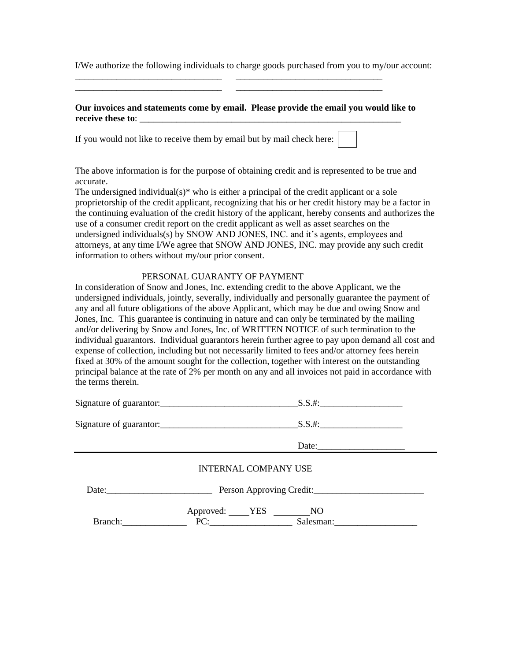I/We authorize the following individuals to charge goods purchased from you to my/our account:

#### **Our invoices and statements come by email. Please provide the email you would like to receive these to**: \_\_\_\_\_\_\_\_\_\_\_\_\_\_\_\_\_\_\_\_\_\_\_\_\_\_\_\_\_\_\_\_\_\_\_\_\_\_\_\_\_\_\_\_\_\_\_\_\_\_\_\_\_\_\_\_\_

\_\_\_\_\_\_\_\_\_\_\_\_\_\_\_\_\_\_\_\_\_\_\_\_\_\_\_\_\_\_\_\_ \_\_\_\_\_\_\_\_\_\_\_\_\_\_\_\_\_\_\_\_\_\_\_\_\_\_\_\_\_\_\_\_ \_\_\_\_\_\_\_\_\_\_\_\_\_\_\_\_\_\_\_\_\_\_\_\_\_\_\_\_\_\_\_\_ \_\_\_\_\_\_\_\_\_\_\_\_\_\_\_\_\_\_\_\_\_\_\_\_\_\_\_\_\_\_\_\_

If you would not like to receive them by email but by mail check here:

The above information is for the purpose of obtaining credit and is represented to be true and accurate.

The undersigned individual( $s$ )<sup>\*</sup> who is either a principal of the credit applicant or a sole proprietorship of the credit applicant, recognizing that his or her credit history may be a factor in the continuing evaluation of the credit history of the applicant, hereby consents and authorizes the use of a consumer credit report on the credit applicant as well as asset searches on the undersigned individuals(s) by SNOW AND JONES, INC. and it's agents, employees and attorneys, at any time I/We agree that SNOW AND JONES, INC. may provide any such credit information to others without my/our prior consent.

#### PERSONAL GUARANTY OF PAYMENT

In consideration of Snow and Jones, Inc. extending credit to the above Applicant, we the undersigned individuals, jointly, severally, individually and personally guarantee the payment of any and all future obligations of the above Applicant, which may be due and owing Snow and Jones, Inc. This guarantee is continuing in nature and can only be terminated by the mailing and/or delivering by Snow and Jones, Inc. of WRITTEN NOTICE of such termination to the individual guarantors. Individual guarantors herein further agree to pay upon demand all cost and expense of collection, including but not necessarily limited to fees and/or attorney fees herein fixed at 30% of the amount sought for the collection, together with interest on the outstanding principal balance at the rate of 2% per month on any and all invoices not paid in accordance with the terms therein.

| Signature of guarantor:              |
|--------------------------------------|
|                                      |
| Date:                                |
| <b>INTERNAL COMPANY USE</b>          |
| Date: 2008. Person Approving Credit: |
| Approved: YES NO<br>PC: Salesman:    |